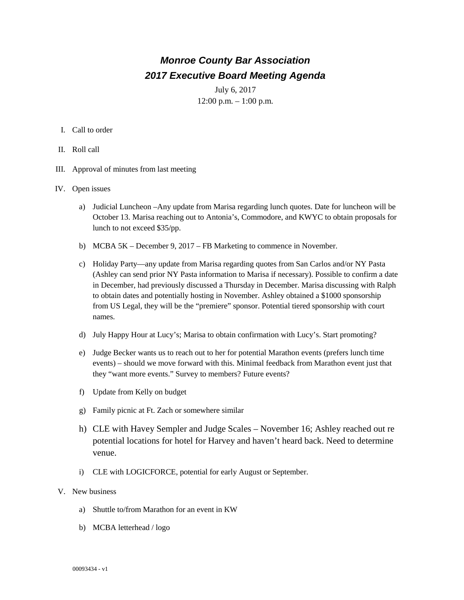## *Monroe County Bar Association 2017 Executive Board Meeting Agenda*

July 6, 2017  $12:00$  p.m.  $-1:00$  p.m.

- I. Call to order
- II. Roll call
- III. Approval of minutes from last meeting
- IV. Open issues
	- a) Judicial Luncheon –Any update from Marisa regarding lunch quotes. Date for luncheon will be October 13. Marisa reaching out to Antonia's, Commodore, and KWYC to obtain proposals for lunch to not exceed \$35/pp.
	- b) MCBA 5K December 9, 2017 FB Marketing to commence in November.
	- c) Holiday Party—any update from Marisa regarding quotes from San Carlos and/or NY Pasta (Ashley can send prior NY Pasta information to Marisa if necessary). Possible to confirm a date in December, had previously discussed a Thursday in December. Marisa discussing with Ralph to obtain dates and potentially hosting in November. Ashley obtained a \$1000 sponsorship from US Legal, they will be the "premiere" sponsor. Potential tiered sponsorship with court names.
	- d) July Happy Hour at Lucy's; Marisa to obtain confirmation with Lucy's. Start promoting?
	- e) Judge Becker wants us to reach out to her for potential Marathon events (prefers lunch time events) – should we move forward with this. Minimal feedback from Marathon event just that they "want more events." Survey to members? Future events?
	- f) Update from Kelly on budget
	- g) Family picnic at Ft. Zach or somewhere similar
	- h) CLE with Havey Sempler and Judge Scales November 16; Ashley reached out re potential locations for hotel for Harvey and haven't heard back. Need to determine venue.
	- i) CLE with LOGICFORCE, potential for early August or September.
- V. New business
	- a) Shuttle to/from Marathon for an event in KW
	- b) MCBA letterhead / logo